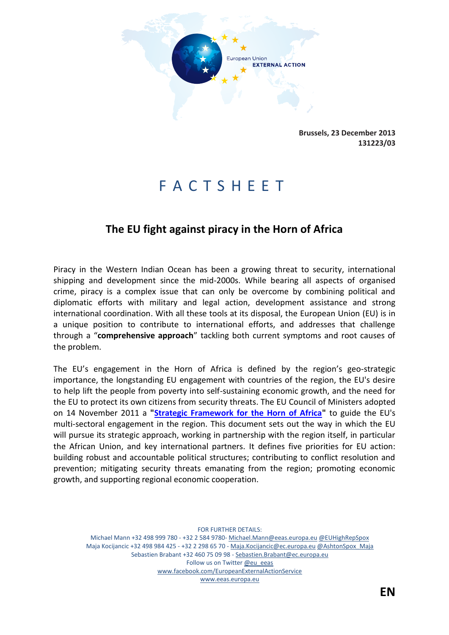

**Brussels, 23 December 2013 131223/03**

# F A C T S H E E T

## **The EU fight against piracy in the Horn of Africa**

Piracy in the Western Indian Ocean has been a growing threat to security, international shipping and development since the mid-2000s. While bearing all aspects of organised crime, piracy is a complex issue that can only be overcome by combining political and diplomatic efforts with military and legal action, development assistance and strong international coordination. With all these tools at its disposal, the European Union (EU) is in a unique position to contribute to international efforts, and addresses that challenge through a "**comprehensive approach**" tackling both current symptoms and root causes of the problem.

The EU's engagement in the Horn of Africa is defined by the region's geo-strategic importance, the longstanding EU engagement with countries of the region, the EU's desire to help lift the people from poverty into self-sustaining economic growth, and the need for the EU to protect its own citizens from security threats. The EU Council of Ministers adopted on 14 November 2011 a **["Strategic Framework for the Horn of Africa"](http://www.consilium.europa.eu/uedocs/cms_data/docs/pressdata/EN/foraff/126052.pdf)** to guide the EU's multi-sectoral engagement in the region. This document sets out the way in which the EU will pursue its strategic approach, working in partnership with the region itself, in particular the African Union, and key international partners. It defines five priorities for EU action: building robust and accountable political structures; contributing to conflict resolution and prevention; mitigating security threats emanating from the region; promoting economic growth, and supporting regional economic cooperation.

FOR FURTHER DETAILS: Michael Mann +32 498 999 780 - +32 2 584 9780- Michael.Mann@eeas.europa.eu @EUHighRepSpox Maja Kocijancic +32 498 984 425 - +32 2 298 65 70 - Maja.Kocijancic@ec.europa.eu @AshtonSpox\_Maja Sebastien Brabant +32 460 75 09 98 - Sebastien.Brabant@ec.europa.eu Follow us on Twitter @eu\_eeas www.facebook.com/EuropeanExternalActionService www.eeas.europa.eu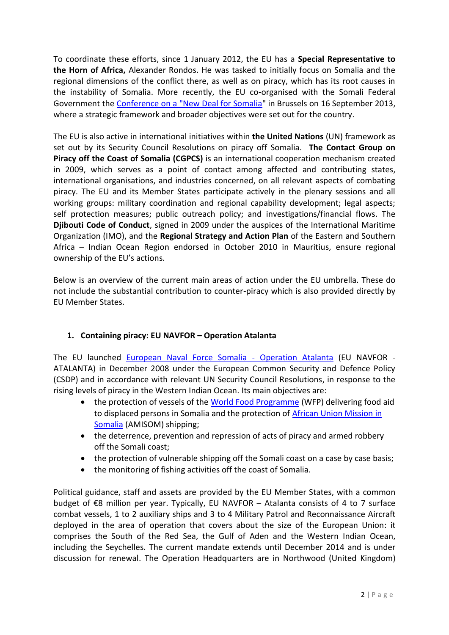To coordinate these efforts, since 1 January 2012, the EU has a **Special Representative to the Horn of Africa,** Alexander Rondos. He was tasked to initially focus on Somalia and the regional dimensions of the conflict there, as well as on piracy, which has its root causes in the instability of Somalia. More recently, the EU co-organised with the Somali Federal Government the [Conference on a "New Deal for Somalia"](http://www.somalia-newdeal-conference.eu/) in Brussels on 16 September 2013, where a strategic framework and broader objectives were set out for the country.

The EU is also active in international initiatives within **the United Nations** (UN) framework as set out by its Security Council Resolutions on piracy off Somalia. **The Contact Group on Piracy off the Coast of Somalia (CGPCS)** is an international cooperation mechanism created in 2009, which serves as a point of contact among affected and contributing states, international organisations, and industries concerned, on all relevant aspects of combating piracy. The EU and its Member States participate actively in the plenary sessions and all working groups: military coordination and regional capability development; legal aspects; self protection measures; public outreach policy; and investigations/financial flows. The **Djibouti Code of Conduct**, signed in 2009 under the auspices of the International Maritime Organization (IMO), and the **Regional Strategy and Action Plan** of the Eastern and Southern Africa – Indian Ocean Region endorsed in October 2010 in Mauritius, ensure regional ownership of the EU's actions.

Below is an overview of the current main areas of action under the EU umbrella. These do not include the substantial contribution to counter-piracy which is also provided directly by EU Member States.

### **1. Containing piracy: EU NAVFOR – Operation Atalanta**

The EU launched [European Naval Force Somalia -](http://www.eunavfor.eu/) Operation Atalanta (EU NAVFOR - ATALANTA) in December 2008 under the European Common Security and Defence Policy (CSDP) and in accordance with relevant UN Security Council Resolutions, in response to the rising levels of piracy in the Western Indian Ocean. Its main objectives are:

- the protection of vessels of the [World Food Programme](http://www.wfp.org/) (WFP) delivering food aid to displaced persons in Somalia and the protection of [African Union Mission in](http://www.africa-union.org/root/au/auc/departments/psc/amisom/amisom.htm) [Somalia](http://www.africa-union.org/root/au/auc/departments/psc/amisom/amisom.htm) (AMISOM) shipping;
- the deterrence, prevention and repression of acts of piracy and armed robbery off the Somali coast;
- the protection of vulnerable shipping off the Somali coast on a case by case basis;
- the monitoring of fishing activities off the coast of Somalia.

Political guidance, staff and assets are provided by the EU Member States, with a common budget of €8 million per year. Typically, EU NAVFOR – Atalanta consists of 4 to 7 surface combat vessels, 1 to 2 auxiliary ships and 3 to 4 Military Patrol and Reconnaissance Aircraft deployed in the area of operation that covers about the size of the European Union: it comprises the South of the Red Sea, the Gulf of Aden and the Western Indian Ocean, including the Seychelles. The current mandate extends until December 2014 and is under discussion for renewal. The Operation Headquarters are in Northwood (United Kingdom)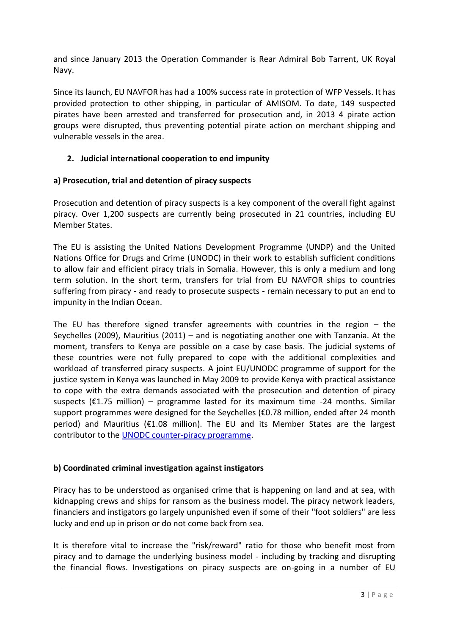and since January 2013 the Operation Commander is Rear Admiral Bob Tarrent, UK Royal Navy.

Since its launch, EU NAVFOR has had a 100% success rate in protection of WFP Vessels. It has provided protection to other shipping, in particular of AMISOM. To date, 149 suspected pirates have been arrested and transferred for prosecution and, in 2013 4 pirate action groups were disrupted, thus preventing potential pirate action on merchant shipping and vulnerable vessels in the area.

#### **2. Judicial international cooperation to end impunity**

#### **a) Prosecution, trial and detention of piracy suspects**

Prosecution and detention of piracy suspects is a key component of the overall fight against piracy. Over 1,200 suspects are currently being prosecuted in 21 countries, including EU Member States.

The EU is assisting the United Nations Development Programme (UNDP) and the United Nations Office for Drugs and Crime (UNODC) in their work to establish sufficient conditions to allow fair and efficient piracy trials in Somalia. However, this is only a medium and long term solution. In the short term, transfers for trial from EU NAVFOR ships to countries suffering from piracy - and ready to prosecute suspects - remain necessary to put an end to impunity in the Indian Ocean.

The EU has therefore signed transfer agreements with countries in the region  $-$  the Seychelles (2009), Mauritius (2011) – and is negotiating another one with Tanzania. At the moment, transfers to Kenya are possible on a case by case basis. The judicial systems of these countries were not fully prepared to cope with the additional complexities and workload of transferred piracy suspects. A joint EU/UNODC programme of support for the justice system in Kenya was launched in May 2009 to provide Kenya with practical assistance to cope with the extra demands associated with the prosecution and detention of piracy suspects (€1.75 million) – programme lasted for its maximum time -24 months. Similar support programmes were designed for the Seychelles (€0.78 million, ended after 24 month period) and Mauritius (€1.08 million). The EU and its Member States are the largest contributor to the [UNODC counter-piracy programme.](http://www.unodc.org/easternafrica/en/piracy/index.html)

#### **b) Coordinated criminal investigation against instigators**

Piracy has to be understood as organised crime that is happening on land and at sea, with kidnapping crews and ships for ransom as the business model. The piracy network leaders, financiers and instigators go largely unpunished even if some of their "foot soldiers" are less lucky and end up in prison or do not come back from sea.

It is therefore vital to increase the "risk/reward" ratio for those who benefit most from piracy and to damage the underlying business model - including by tracking and disrupting the financial flows. Investigations on piracy suspects are on-going in a number of EU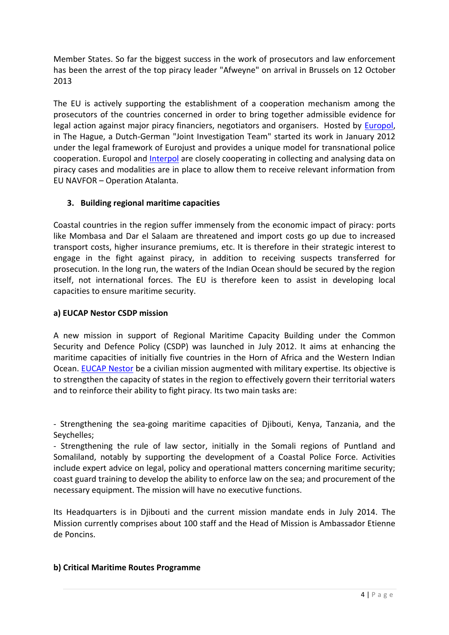Member States. So far the biggest success in the work of prosecutors and law enforcement has been the arrest of the top piracy leader "Afweyne" on arrival in Brussels on 12 October 2013

The EU is actively supporting the establishment of a cooperation mechanism among the prosecutors of the countries concerned in order to bring together admissible evidence for legal action against major piracy financiers, negotiators and organisers. Hosted by [Europol,](https://www.europol.europa.eu/content/press/joint-efforts-against-maritime-piracy-643) in The Hague, a Dutch-German "Joint Investigation Team" started its work in January 2012 under the legal framework of Eurojust and provides a unique model for transnational police cooperation. Europol and **Interpol** are closely cooperating in collecting and analysing data on piracy cases and modalities are in place to allow them to receive relevant information from EU NAVFOR – Operation Atalanta.

#### **3. Building regional maritime capacities**

Coastal countries in the region suffer immensely from the economic impact of piracy: ports like Mombasa and Dar el Salaam are threatened and import costs go up due to increased transport costs, higher insurance premiums, etc. It is therefore in their strategic interest to engage in the fight against piracy, in addition to receiving suspects transferred for prosecution. In the long run, the waters of the Indian Ocean should be secured by the region itself, not international forces. The EU is therefore keen to assist in developing local capacities to ensure maritime security.

#### **a) EUCAP Nestor CSDP mission**

A new mission in support of Regional Maritime Capacity Building under the Common Security and Defence Policy (CSDP) was launched in July 2012. It aims at enhancing the maritime capacities of initially five countries in the Horn of Africa and the Western Indian Ocean. [EUCAP Nestor](http://consilium.europa.eu/media/1617222/factsheet__eucap_nestor_en_.pdf) be a civilian mission augmented with military expertise. Its objective is to strengthen the capacity of states in the region to effectively govern their territorial waters and to reinforce their ability to fight piracy. Its two main tasks are:

- Strengthening the sea-going maritime capacities of Djibouti, Kenya, Tanzania, and the Seychelles;

- Strengthening the rule of law sector, initially in the Somali regions of Puntland and Somaliland, notably by supporting the development of a Coastal Police Force. Activities include expert advice on legal, policy and operational matters concerning maritime security; coast guard training to develop the ability to enforce law on the sea; and procurement of the necessary equipment. The mission will have no executive functions.

Its Headquarters is in Djibouti and the current mission mandate ends in July 2014. The Mission currently comprises about 100 staff and the Head of Mission is Ambassador Etienne de Poncins.

#### **b) Critical Maritime Routes Programme**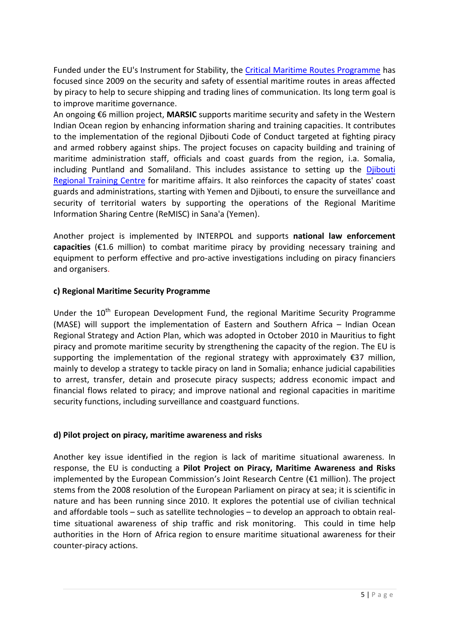Funded under the EU's Instrument for Stability, the [Critical Maritime Routes Programme](http://ec.europa.eu/europeaid/infopoint/publications/europeaid/documents/207a_en.pdf) has focused since 2009 on the security and safety of essential maritime routes in areas affected by piracy to help to secure shipping and trading lines of communication. Its long term goal is to improve maritime governance.

An ongoing €6 million project, **MARSIC** supports maritime security and safety in the Western Indian Ocean region by enhancing information sharing and training capacities. It contributes to the implementation of the regional Djibouti Code of Conduct targeted at fighting piracy and armed robbery against ships. The project focuses on capacity building and training of maritime administration staff, officials and coast guards from the region, i.a. Somalia, including Puntland and Somaliland. This includes assistance to setting up the [Djibouti](http://www.edumar.org/)  [Regional Training Centre](http://www.edumar.org/) for maritime affairs. It also reinforces the capacity of states' coast guards and administrations, starting with Yemen and Djibouti, to ensure the surveillance and security of territorial waters by supporting the operations of the Regional Maritime Information Sharing Centre (ReMISC) in Sana'a (Yemen).

Another project is implemented by INTERPOL and supports **national law enforcement capacities** (€1.6 million) to combat maritime piracy by providing necessary training and equipment to perform effective and pro-active investigations including on piracy financiers and organisers.

#### **c) Regional Maritime Security Programme**

Under the 10<sup>th</sup> European Development Fund, the regional Maritime Security Programme (MASE) will support the implementation of Eastern and Southern Africa – Indian Ocean Regional Strategy and Action Plan, which was adopted in October 2010 in Mauritius to fight piracy and promote maritime security by strengthening the capacity of the region. The EU is supporting the implementation of the regional strategy with approximately  $\epsilon$ 37 million, mainly to develop a strategy to tackle piracy on land in Somalia; enhance judicial capabilities to arrest, transfer, detain and prosecute piracy suspects; address economic impact and financial flows related to piracy; and improve national and regional capacities in maritime security functions, including surveillance and coastguard functions.

#### **d) Pilot project on piracy, maritime awareness and risks**

Another key issue identified in the region is lack of maritime situational awareness. In response, the EU is conducting a **Pilot Project on Piracy, Maritime Awareness and Risks** implemented by the European Commission's Joint Research Centre ( $\epsilon$ 1 million). The project stems from the 2008 resolution of the European Parliament on piracy at sea; it is scientific in nature and has been running since 2010. It explores the potential use of civilian technical and affordable tools – such as satellite technologies – to develop an approach to obtain realtime situational awareness of ship traffic and risk monitoring. This could in time help authorities in the Horn of Africa region to ensure maritime situational awareness for their counter-piracy actions.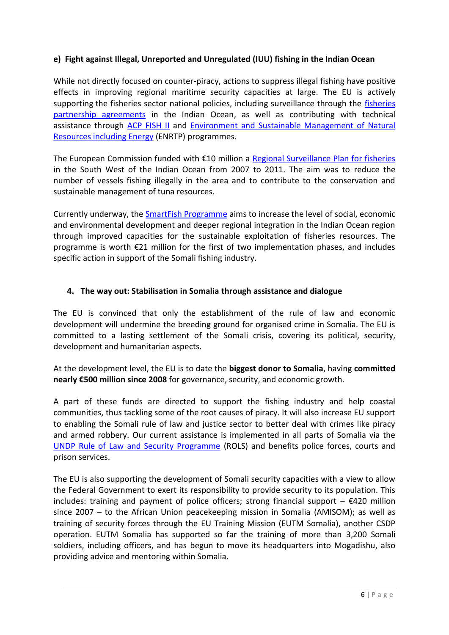#### **e) Fight against Illegal, Unreported and Unregulated (IUU) fishing in the Indian Ocean**

While not directly focused on counter-piracy, actions to suppress illegal fishing have positive effects in improving regional maritime security capacities at large. The EU is actively supporting the fisheries sector national policies, including surveillance through the [fisheries](http://ec.europa.eu/fisheries/cfp/international/agreements/index_en.htm)  [partnership agreements](http://ec.europa.eu/fisheries/cfp/international/agreements/index_en.htm) in the Indian Ocean, as well as contributing with technical assistance through [ACP FISH II](http://www.acpfish2-eu.org/) and [Environment and Sustainable Management of Natural](http://ec.europa.eu/europeaid/how/finance/dci/environment_en.htm)  [Resources including Energy](http://ec.europa.eu/europeaid/how/finance/dci/environment_en.htm) (ENRTP) programmes.

The European Commission funded with €10 million a [Regional Surveillance Plan for fisheries](http://www.coi-ioc.org/index.php?id=162) in the South West of the Indian Ocean from 2007 to 2011. The aim was to reduce the number of vessels fishing illegally in the area and to contribute to the conservation and sustainable management of tuna resources.

Currently underway, the [SmartFish Programme](http://www.smartfish-ioc.org/#!programme) aims to increase the level of social, economic and environmental development and deeper regional integration in the Indian Ocean region through improved capacities for the sustainable exploitation of fisheries resources. The programme is worth €21 million for the first of two implementation phases, and includes specific action in support of the Somali fishing industry.

#### **4. The way out: Stabilisation in Somalia through assistance and dialogue**

The EU is convinced that only the establishment of the rule of law and economic development will undermine the breeding ground for organised crime in Somalia. The EU is committed to a lasting settlement of the Somali crisis, covering its political, security, development and humanitarian aspects.

At the development level, the EU is to date the **biggest donor to Somalia**, having **committed nearly €500 million since 2008** for governance, security, and economic growth.

A part of these funds are directed to support the fishing industry and help coastal communities, thus tackling some of the root causes of piracy. It will also increase EU support to enabling the Somali rule of law and justice sector to better deal with crimes like piracy and armed robbery. Our current assistance is implemented in all parts of Somalia via the [UNDP Rule of Law and Security Programme](http://www.so.undp.org/index.php/Rule-of-Law-Security.html) (ROLS) and benefits police forces, courts and prison services.

The EU is also supporting the development of Somali security capacities with a view to allow the Federal Government to exert its responsibility to provide security to its population. This includes: training and payment of police officers; [strong financial support](http://europa.eu/rapid/pressReleasesAction.do?reference=IP/11/1503&format=HTML&aged=0&language=EN&guiLanguage=en)  $-\epsilon$ 420 million since 2007 – [to the African Union peacekeeping mission in Somalia](http://europa.eu/rapid/pressReleasesAction.do?reference=IP/11/1503&format=HTML&aged=0&language=EN&guiLanguage=en) (AMISOM); as well as training of security forces through the [EU Training Mission \(EUTM Somalia\),](http://consilium.europa.eu/uedocs/cms_data/docs/missionPress/files/Fact%20sheet%20EUTM%20-%20version%2010_ENrev201.pdf) another CSDP operation. EUTM Somalia has supported so far the training of more than 3,200 Somali soldiers, including officers, and has begun to move its headquarters into Mogadishu, also providing advice and mentoring within Somalia.